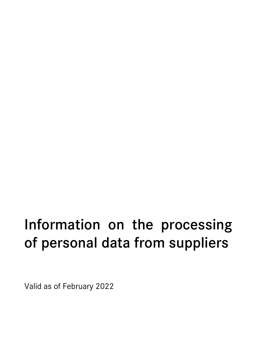# Information on the processing of personal data from suppliers

Valid as of February 2022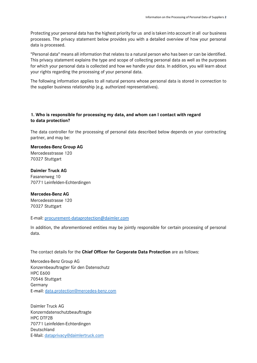Protecting your personal data has the highest priority for us and is taken into account in all our business processes. The privacy statement below provides you with a detailed overview of how your personal data is processed.

"Personal data" means all information that relates to a natural person who has been or can be identified. This privacy statement explains the type and scope of collecting personal data as well as the purposes for which your personal data is collected and how we handle your data. In addition, you will learn about your rights regarding the processing of your personal data.

The following information applies to all natural persons whose personal data is stored in connection to the supplier business relationship (e.g. authorized representatives).

# **1. Who is responsible for processing my data, and whom can I contact with regard to data protection?**

The data controller for the processing of personal data described below depends on your contracting partner, and may be:

**Mercedes-Benz Group AG** Mercedesstrasse 120 70327 Stuttgart

# **Daimler Truck AG** Fasanenweg 10 70771 Leinfelden-Echterdingen

#### **Mercedes-Benz AG**

Mercedesstrasse 120 70327 Stuttgart

#### E-mail: [procurement-dataprotection@daimler.com](mailto:procurement-dataprotection@daimler.com)

In addition, the aforementioned entities may be jointly responsible for certain processing of personal data.

The contact details for the **Chief Officer for Corporate Data Protection** are as follows:

Mercedes-Benz Group AG Konzernbeauftragter für den Datenschutz HPC E600 70546 Stuttgart Germany E-mail: [data.protection@mercedes-benz.com](mailto:data.protection@mercedes-benz.com)

Daimler Truck AG Konzerndatenschutzbeauftragte HPC DTF2B 70771 Leinfelden-Echterdingen Deutschland E-Mail: [dataprivacy@daimlertruck.com](mailto:dataprivacy@daimlertruck.com)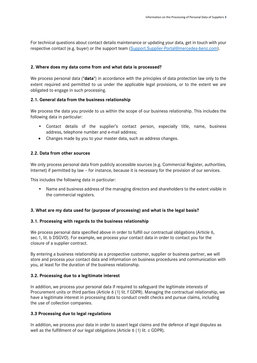For technical questions about contact details maintenance or updating your data, get in touch with your respective contact (e.g. buyer) or the support team [\(Support.Supplier-Portal@mercedes-benz.com\)](mailto:Support.Supplier-Portal@mercedes-benz.com).

#### **2. Where does my data come from and what data is processed?**

We process personal data ("**data**") in accordance with the principles of data protection law only to the extent required and permitted to us under the applicable legal provisions, or to the extent we are obligated to engage in such processing.

#### **2.1. General data from the business relationship**

We process the data you provide to us within the scope of our business relationship. This includes the following data in particular:

- Contact details of the supplier's contact person, especially title, name, business address, telephone number and e-mail address;
- Changes made by you to your master data, such as address changes.

#### **2.2. Data from other sources**

We only process personal data from publicly accessible sources (e.g. Commercial Register, authorities, Internet) if permitted by law – for instance, because it is necessary for the provision of our services.

This includes the following data in particular:

• Name and business address of the managing directors and shareholders to the extent visible in the commercial registers.

# **3. What are my data used for (purpose of processing) and what is the legal basis?**

#### **3.1. Processing with regards to the business relationship**

We process personal data specified above in order to fulfill our contractual obligations (Article 6, sec.1, lit. b DSGVO). For example, we process your contact data in order to contact you for the closure of a supplier contract.

By entering a business relationship as a prospective customer, supplier or business partner, we will store and process your contact data and information on business procedures and communication with you, at least for the duration of the business relationship.

#### **3.2. Processing due to a legitimate interest**

In addition, we process your personal data if required to safeguard the legitimate interests of Procurement units or third parties (Article 6 (1) lit. f GDPR). Managing the contractual relationship, we have a legitimate interest in processing data to conduct credit checks and pursue claims, including the use of collection companies.

# **3.3 Processing due to legal regulations**

In addition, we process your data in order to assert legal claims and the defence of legal disputes as well as the fulfillment of our legal obligations (Article 6 (1) lit. c GDPR).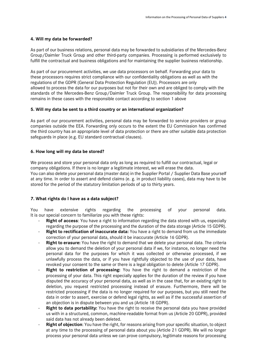#### **4. Will my data be forwarded?**

As part of our business relations, personal data may be forwarded to subsidiaries of the Mercedes-Benz Group/Daimler Truck Group and other third-party companies. Processing is performed exclusively to fulfill the contractual and business obligations and for maintaining the supplier business relationship.

As part of our procurement activities, we use data processors on behalf. Forwarding your data to these processors requires strict compliance with our confidentiality obligations as well as with the regulations of the GDPR (General Data Protection Regulation (EU)). Processors are only allowed to process the data for our purposes but not for their own and are obliged to comply with the standards of the Mercedes-Benz Group/Daimler Truck Group. The responsibility for data processing remains in these cases with the responsible contact according to section 1 above

#### **5. Will my data be sent to a third country or an international organization?**

As part of our procurement activities, personal data may be forwarded to service providers or group companies outside the EEA. Forwarding only occurs to the extent the EU Commission has confirmed the third country has an appropriate level of data protection or there are other suitable data protection safeguards in place (e.g. EU standard contractual clauses).

#### **6. How long will my data be stored?**

We process and store your personal data only as long as required to fulfill our contractual, legal or company obligations. If there is no longer a legitimate interest, we will erase the data.

You can also delete your personal data (master data) in the Supplier Portal / Supplier Data Base yourself at any time. In order to assert and defend claims (e. g. in product liability cases), data may have to be stored for the period of the statutory limitation periods of up to thirty years.

# **7. What rights do I have as a data subject?**

You have extensive rights regarding the processing of your personal data. It is our special concern to familiarize you with these rights:

- **Right of access:** You have a right to information regarding the data stored with us, especially regarding the purpose of the processing and the duration of the data storage (Article 15 GDPR).
- **Right to rectification of inaccurate data:** You have a right to demand from us the immediate correction of your personal data, should it be inaccurate (Article 16 GDPR).
- **Right to erasure:** You have the right to demand that we delete your personal data. The criteria allow you to demand the deletion of your personal data if we, for instance, no longer need the personal data for the purposes for which it was collected or otherwise processed, if we unlawfully process the data, or if you have rightfully objected to the use of your data, have revoked your consent to the same or there is a legal obligation to delete (Article 17 GDPR).
- **Right to restriction of processing:** You have the right to demand a restriction of the processing of your data. This right especially applies for the duration of the review if you have disputed the accuracy of your personal data, as well as in the case that, for an existing right to deletion, you request restricted processing instead of erasure. Furthermore, there will be restricted processing if the data is no longer required for our purposes, but you still need the data in order to assert, exercise or defend legal rights, as well as if the successful assertion of an objection is in dispute between you and us (Article 18 GDPR).
- **Right to data portability:** You have the right to receive the personal data you have provided us with in a structured, common, machine-readable format from us (Article 20 GDPR), provided said data has not already been deleted.
- **Right of objection**: You have the right, for reasons arising from your specific situation, to object at any time to the processing of personal data about you (Article 21 GDPR). We will no longer process your personal data unless we can prove compulsory, legitimate reasons for processing